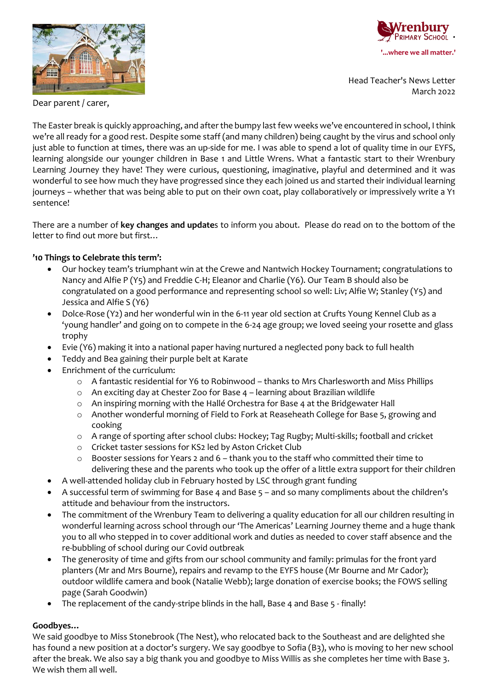



Head Teacher's News Letter March 2022

Dear parent / carer,

The Easter break is quickly approaching, and after the bumpy last few weeks we've encountered in school, I think we're all ready for a good rest. Despite some staff (and many children) being caught by the virus and school only just able to function at times, there was an up-side for me. I was able to spend a lot of quality time in our EYFS, learning alongside our younger children in Base 1 and Little Wrens. What a fantastic start to their Wrenbury Learning Journey they have! They were curious, questioning, imaginative, playful and determined and it was wonderful to see how much they have progressed since they each joined us and started their individual learning journeys – whether that was being able to put on their own coat, play collaboratively or impressively write a Y1 sentence!

There are a number of **key changes and update**s to inform you about. Please do read on to the bottom of the letter to find out more but first…

### **'10 Things to Celebrate this term':**

- Our hockey team's triumphant win at the Crewe and Nantwich Hockey Tournament; congratulations to Nancy and Alfie P (Y5) and Freddie C-H; Eleanor and Charlie (Y6). Our Team B should also be congratulated on a good performance and representing school so well: Liv; Alfie W; Stanley (Y5) and Jessica and Alfie S (Y6)
- Dolce-Rose (Y2) and her wonderful win in the 6-11 year old section at Crufts Young Kennel Club as a 'young handler' and going on to compete in the 6-24 age group; we loved seeing your rosette and glass trophy
- Evie (Y6) making it into a national paper having nurtured a neglected pony back to full health
- Teddy and Bea gaining their purple belt at Karate
- Enrichment of the curriculum:
	- o A fantastic residential for Y6 to Robinwood thanks to Mrs Charlesworth and Miss Phillips
	- o An exciting day at Chester Zoo for Base 4 learning about Brazilian wildlife
	- o An inspiring morning with the Hallé Orchestra for Base 4 at the Bridgewater Hall
	- o Another wonderful morning of Field to Fork at Reaseheath College for Base 5, growing and cooking
	- o A range of sporting after school clubs: Hockey; Tag Rugby; Multi-skills; football and cricket
	- o Cricket taster sessions for KS2 led by Aston Cricket Club
	- o Booster sessions for Years 2 and 6 thank you to the staff who committed their time to delivering these and the parents who took up the offer of a little extra support for their children
- A well-attended holiday club in February hosted by LSC through grant funding
- A successful term of swimming for Base 4 and Base 5 and so many compliments about the children's attitude and behaviour from the instructors.
- The commitment of the Wrenbury Team to delivering a quality education for all our children resulting in wonderful learning across school through our 'The Americas' Learning Journey theme and a huge thank you to all who stepped in to cover additional work and duties as needed to cover staff absence and the re-bubbling of school during our Covid outbreak
- The generosity of time and gifts from our school community and family: primulas for the front yard planters (Mr and Mrs Bourne), repairs and revamp to the EYFS house (Mr Bourne and Mr Cador); outdoor wildlife camera and book (Natalie Webb); large donation of exercise books; the FOWS selling page (Sarah Goodwin)
- The replacement of the candy-stripe blinds in the hall, Base 4 and Base 5 finally!

### **Goodbyes…**

We said goodbye to Miss Stonebrook (The Nest), who relocated back to the Southeast and are delighted she has found a new position at a doctor's surgery. We say goodbye to Sofia (B3), who is moving to her new school after the break. We also say a big thank you and goodbye to Miss Willis as she completes her time with Base 3. We wish them all well.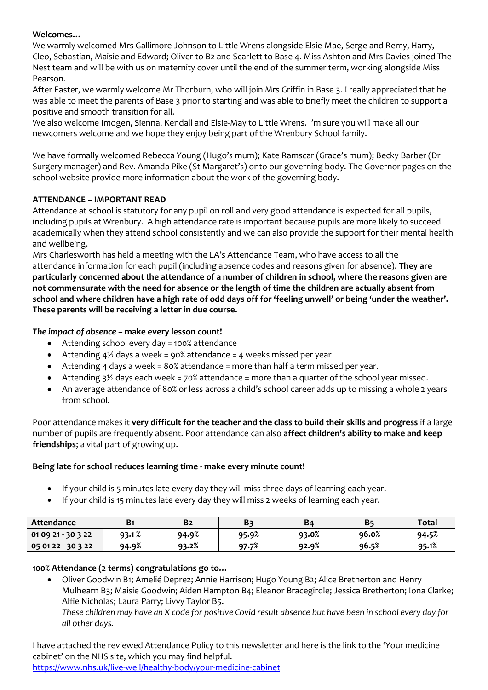#### **Welcomes…**

We warmly welcomed Mrs Gallimore-Johnson to Little Wrens alongside Elsie-Mae, Serge and Remy, Harry, Cleo, Sebastian, Maisie and Edward; Oliver to B2 and Scarlett to Base 4. Miss Ashton and Mrs Davies joined The Nest team and will be with us on maternity cover until the end of the summer term, working alongside Miss Pearson.

After Easter, we warmly welcome Mr Thorburn, who will join Mrs Griffin in Base 3. I really appreciated that he was able to meet the parents of Base 3 prior to starting and was able to briefly meet the children to support a positive and smooth transition for all.

We also welcome Imogen, Sienna, Kendall and Elsie-May to Little Wrens. I'm sure you will make all our newcomers welcome and we hope they enjoy being part of the Wrenbury School family.

We have formally welcomed Rebecca Young (Hugo's mum); Kate Ramscar (Grace's mum); Becky Barber (Dr Surgery manager) and Rev. Amanda Pike (St Margaret's) onto our governing body. The Governor pages on the school website provide more information about the work of the governing body.

### **ATTENDANCE – IMPORTANT READ**

Attendance at school is statutory for any pupil on roll and very good attendance is expected for all pupils, including pupils at Wrenbury. A high attendance rate is important because pupils are more likely to succeed academically when they attend school consistently and we can also provide the support for their mental health and wellbeing.

Mrs Charlesworth has held a meeting with the LA's Attendance Team, who have access to all the attendance information for each pupil (including absence codes and reasons given for absence). **They are particularly concerned about the attendance of a number of children in school, where the reasons given are not commensurate with the need for absence or the length of time the children are actually absent from school and where children have a high rate of odd days off for 'feeling unwell' or being 'under the weather'. These parents will be receiving a letter in due course.**

### *The impact of absence –* **make every lesson count!**

- Attending school every day = 100% attendance
- Attending  $4\frac{1}{2}$  days a week = 90% attendance = 4 weeks missed per year
- Attending 4 days a week = 80% attendance = more than half a term missed per year.
- Attending 3<sup>1</sup>/<sub>2</sub> days each week = 70% attendance = more than a quarter of the school year missed.
- An average attendance of 80% or less across a child's school career adds up to missing a whole 2 years from school.

Poor attendance makes it **very difficult for the teacher and the class to build their skills and progress** if a large number of pupils are frequently absent. Poor attendance can also **affect children's ability to make and keep friendships**; a vital part of growing up.

### **Being late for school reduces learning time - make every minute count!**

- If your child is 5 minutes late every day they will miss three days of learning each year.
- If your child is 15 minutes late every day they will miss 2 weeks of learning each year.

| Attendance         | B1    | <b>B2</b> | B3    | B4    | B5    | <b>Total</b> |
|--------------------|-------|-----------|-------|-------|-------|--------------|
| 01 09 21 - 30 3 22 | 93.1% | 94.9%     | 95.9% | 93.0% | 96.0% | 94.5%        |
| 05 01 22 - 30 3 22 | 94.9% | 93.2%     | 97.7% | 92.9% | 96.5% | 95.1%        |

### **100% Attendance (2 terms) congratulations go to…**

• Oliver Goodwin B1; Amelié Deprez; Annie Harrison; Hugo Young B2; Alice Bretherton and Henry Mulhearn B3; Maisie Goodwin; Aiden Hampton B4; Eleanor Bracegirdle; Jessica Bretherton; Iona Clarke; Alfie Nicholas; Laura Parry; Livvy Taylor B5.

*These children may have an X code for positive Covid result absence but have been in school every day for all other days.*

I have attached the reviewed Attendance Policy to this newsletter and here is the link to the 'Your medicine cabinet' on the NHS site, which you may find helpful. <https://www.nhs.uk/live-well/healthy-body/your-medicine-cabinet>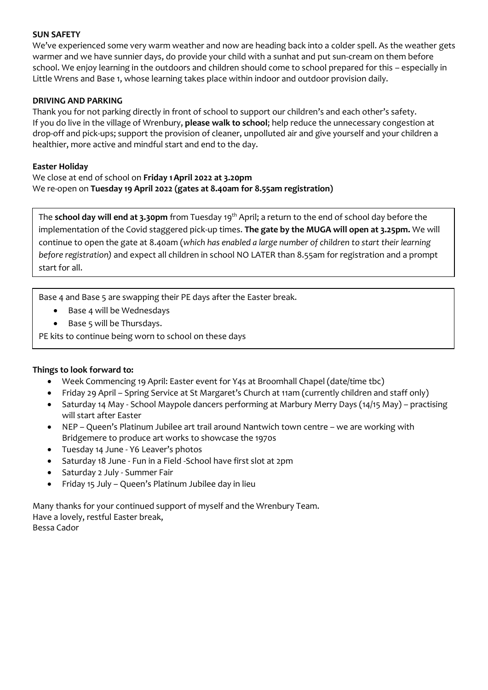#### **SUN SAFETY**

We've experienced some very warm weather and now are heading back into a colder spell. As the weather gets warmer and we have sunnier days, do provide your child with a sunhat and put sun-cream on them before school. We enjoy learning in the outdoors and children should come to school prepared for this – especially in Little Wrens and Base 1, whose learning takes place within indoor and outdoor provision daily.

#### **DRIVING AND PARKING**

Thank you for not parking directly in front of school to support our children's and each other's safety. If you do live in the village of Wrenbury, **please walk to school**; help reduce the unnecessary congestion at drop-off and pick-ups; support the provision of cleaner, unpolluted air and give yourself and your children a healthier, more active and mindful start and end to the day.

#### **Easter Holiday**

We close at end of school on **Friday 1April 2022 at 3.20pm** We re-open on **Tuesday 19 April 2022 (gates at 8.40am for 8.55am registration)**

The **school day will end at 3.30pm** from Tuesday 19<sup>th</sup> April; a return to the end of school day before the implementation of the Covid staggered pick-up times. **The gate by the MUGA will open at 3.25pm.** We will continue to open the gate at 8.40am (*which has enabled a large number of children to start their learning before registration)* and expect all children in school NO LATER than 8.55am for registration and a prompt start for all.

Base 4 and Base 5 are swapping their PE days after the Easter break.

- Base 4 will be Wednesdays
- Base 5 will be Thursdays.

PE kits to continue being worn to school on these days

### **Things to look forward to:**

- Week Commencing 19 April: Easter event for Y4s at Broomhall Chapel (date/time tbc)
- Friday 29 April Spring Service at St Margaret's Church at 11am (currently children and staff only)
- Saturday 14 May School Maypole dancers performing at Marbury Merry Days (14/15 May) practising will start after Easter
- NEP Queen's Platinum Jubilee art trail around Nantwich town centre we are working with Bridgemere to produce art works to showcase the 1970s
- Tuesday 14 June Y6 Leaver's photos
- Saturday 18 June Fun in a Field -School have first slot at 2pm
- Saturday 2 July Summer Fair
- Friday 15 July Queen's Platinum Jubilee day in lieu

Many thanks for your continued support of myself and the Wrenbury Team. Have a lovely, restful Easter break, Bessa Cador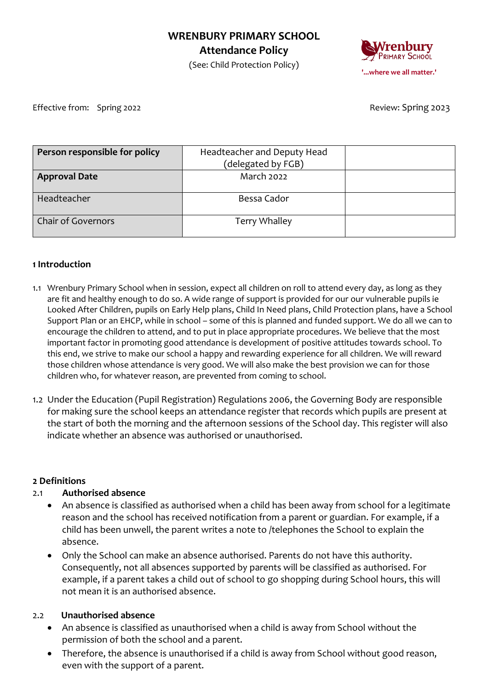## **WRENBURY PRIMARY SCHOOL Attendance Policy**

Primary School **'...where we all matter.'**

(See: Child Protection Policy)

Effective from: Spring 2022 **Review: Spring 2023** 

| Person responsible for policy | Headteacher and Deputy Head |  |
|-------------------------------|-----------------------------|--|
|                               | (delegated by FGB)          |  |
| <b>Approval Date</b>          | March 2022                  |  |
|                               |                             |  |
| Headteacher                   | Bessa Cador                 |  |
|                               |                             |  |
| <b>Chair of Governors</b>     | Terry Whalley               |  |
|                               |                             |  |

### **1 Introduction**

- 1.1 Wrenbury Primary School when in session, expect all children on roll to attend every day, as long as they are fit and healthy enough to do so. A wide range of support is provided for our our vulnerable pupils ie Looked After Children, pupils on Early Help plans, Child In Need plans, Child Protection plans, have a School Support Plan or an EHCP, while in school – some of this is planned and funded support. We do all we can to encourage the children to attend, and to put in place appropriate procedures. We believe that the most important factor in promoting good attendance is development of positive attitudes towards school. To this end, we strive to make our school a happy and rewarding experience for all children. We will reward those children whose attendance is very good. We will also make the best provision we can for those children who, for whatever reason, are prevented from coming to school.
- 1.2 Under the Education (Pupil Registration) Regulations 2006, the Governing Body are responsible for making sure the school keeps an attendance register that records which pupils are present at the start of both the morning and the afternoon sessions of the School day. This register will also indicate whether an absence was authorised or unauthorised.

## **2 Definitions**

## 2.1 **Authorised absence**

- An absence is classified as authorised when a child has been away from school for a legitimate reason and the school has received notification from a parent or guardian. For example, if a child has been unwell, the parent writes a note to /telephones the School to explain the absence.
- Only the School can make an absence authorised. Parents do not have this authority. Consequently, not all absences supported by parents will be classified as authorised. For example, if a parent takes a child out of school to go shopping during School hours, this will not mean it is an authorised absence.

## 2.2 **Unauthorised absence**

- An absence is classified as unauthorised when a child is away from School without the permission of both the school and a parent.
- Therefore, the absence is unauthorised if a child is away from School without good reason, even with the support of a parent.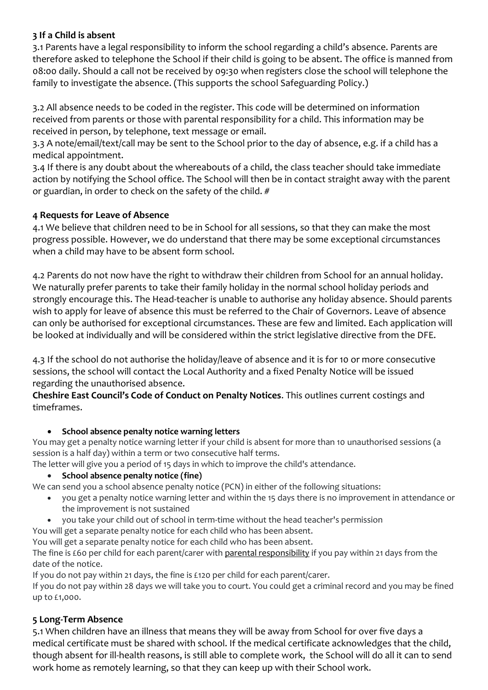## **3 If a Child is absent**

3.1 Parents have a legal responsibility to inform the school regarding a child's absence. Parents are therefore asked to telephone the School if their child is going to be absent. The office is manned from 08:00 daily. Should a call not be received by 09:30 when registers close the school will telephone the family to investigate the absence. (This supports the school Safeguarding Policy.)

3.2 All absence needs to be coded in the register. This code will be determined on information received from parents or those with parental responsibility for a child. This information may be received in person, by telephone, text message or email.

3.3 A note/email/text/call may be sent to the School prior to the day of absence, e.g. if a child has a medical appointment.

3.4 If there is any doubt about the whereabouts of a child, the class teacher should take immediate action by notifying the School office. The School will then be in contact straight away with the parent or guardian, in order to check on the safety of the child. #

# **4 Requests for Leave of Absence**

4.1 We believe that children need to be in School for all sessions, so that they can make the most progress possible. However, we do understand that there may be some exceptional circumstances when a child may have to be absent form school.

4.2 Parents do not now have the right to withdraw their children from School for an annual holiday. We naturally prefer parents to take their family holiday in the normal school holiday periods and strongly encourage this. The Head-teacher is unable to authorise any holiday absence. Should parents wish to apply for leave of absence this must be referred to the Chair of Governors. Leave of absence can only be authorised for exceptional circumstances. These are few and limited. Each application will be looked at individually and will be considered within the strict legislative directive from the DFE.

4.3 If the school do not authorise the holiday/leave of absence and it is for 10 or more consecutive sessions, the school will contact the Local Authority and a fixed Penalty Notice will be issued regarding the unauthorised absence.

**Cheshire East Council's Code of Conduct on Penalty Notices**. This outlines current costings and timeframes.

## • **School absence penalty notice warning letters**

You may get a penalty notice warning letter if your child is absent for more than 10 unauthorised sessions (a session is a half day) within a term or two consecutive half terms.

The letter will give you a period of 15 days in which to improve the child's attendance.

• **School absence penalty notice (fine)**

We can send you a school absence penalty notice (PCN) in either of the following situations:

- you get a penalty notice warning letter and within the 15 days there is no improvement in attendance or the improvement is not sustained
- you take your child out of school in term-time without the head teacher's permission

You will get a separate penalty notice for each child who has been absent.

You will get a separate penalty notice for each child who has been absent.

The fine is £60 per child for each parent/carer with [parental responsibility](https://www.gov.uk/parental-rights-responsibilities/who-has-parental-responsibility) if you pay within 21 days from the date of the notice.

If you do not pay within 21 days, the fine is £120 per child for each parent/carer.

If you do not pay within 28 days we will take you to court. You could get a criminal record and you may be fined up to £1,000.

# **5 Long-Term Absence**

5.1 When children have an illness that means they will be away from School for over five days a medical certificate must be shared with school. If the medical certificate acknowledges that the child, though absent for ill-health reasons, is still able to complete work, the School will do all it can to send work home as remotely learning, so that they can keep up with their School work.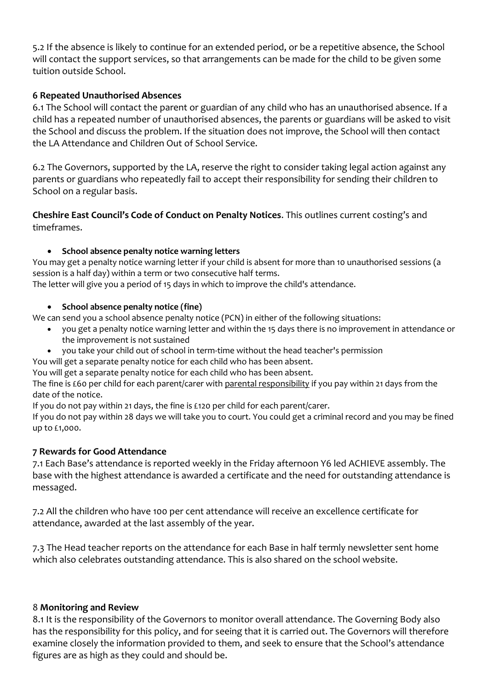5.2 If the absence is likely to continue for an extended period, or be a repetitive absence, the School will contact the support services, so that arrangements can be made for the child to be given some tuition outside School.

### **6 Repeated Unauthorised Absences**

6.1 The School will contact the parent or guardian of any child who has an unauthorised absence. If a child has a repeated number of unauthorised absences, the parents or guardians will be asked to visit the School and discuss the problem. If the situation does not improve, the School will then contact the LA Attendance and Children Out of School Service.

6.2 The Governors, supported by the LA, reserve the right to consider taking legal action against any parents or guardians who repeatedly fail to accept their responsibility for sending their children to School on a regular basis.

**Cheshire East Council's Code of Conduct on Penalty Notices**. This outlines current costing's and timeframes.

### • **School absence penalty notice warning letters**

You may get a penalty notice warning letter if your child is absent for more than 10 unauthorised sessions (a session is a half day) within a term or two consecutive half terms.

The letter will give you a period of 15 days in which to improve the child's attendance.

### • **School absence penalty notice (fine)**

We can send you a school absence penalty notice (PCN) in either of the following situations:

- you get a penalty notice warning letter and within the 15 days there is no improvement in attendance or the improvement is not sustained
- you take your child out of school in term-time without the head teacher's permission

You will get a separate penalty notice for each child who has been absent.

You will get a separate penalty notice for each child who has been absent.

The fine is £60 per child for each parent/carer with [parental responsibility](https://www.gov.uk/parental-rights-responsibilities/who-has-parental-responsibility) if you pay within 21 days from the date of the notice.

If you do not pay within 21 days, the fine is £120 per child for each parent/carer.

If you do not pay within 28 days we will take you to court. You could get a criminal record and you may be fined up to £1,000.

## **7 Rewards for Good Attendance**

7.1 Each Base's attendance is reported weekly in the Friday afternoon Y6 led ACHIEVE assembly. The base with the highest attendance is awarded a certificate and the need for outstanding attendance is messaged.

7.2 All the children who have 100 per cent attendance will receive an excellence certificate for attendance, awarded at the last assembly of the year.

7.3 The Head teacher reports on the attendance for each Base in half termly newsletter sent home which also celebrates outstanding attendance. This is also shared on the school website.

## 8 **Monitoring and Review**

8.1 It is the responsibility of the Governors to monitor overall attendance. The Governing Body also has the responsibility for this policy, and for seeing that it is carried out. The Governors will therefore examine closely the information provided to them, and seek to ensure that the School's attendance figures are as high as they could and should be.